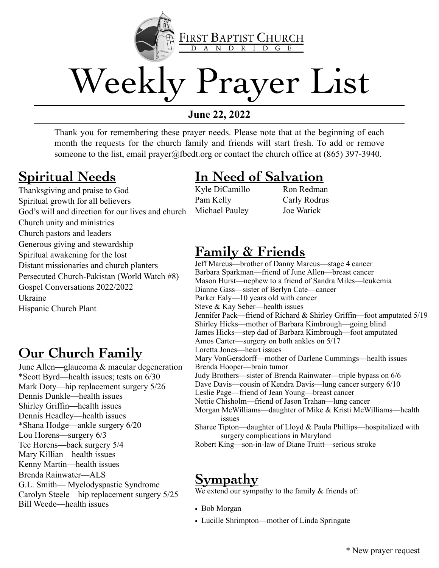

# Weekly Prayer List

### **June 22, 2022**

Thank you for remembering these prayer needs. Please note that at the beginning of each month the requests for the church family and friends will start fresh. To add or remove someone to the list, email prayer@fbcdt.org or contact the church office at (865) 397-3940.

### **Spiritual Needs**

Thanksgiving and praise to God Spiritual growth for all believers God's will and direction for our lives and church Church unity and ministries Church pastors and leaders Generous giving and stewardship Spiritual awakening for the lost Distant missionaries and church planters Persecuted Church-Pakistan (World Watch #8) Gospel Conversations 2022/2022 Ukraine Hispanic Church Plant

### **Our Church Family**

June Allen—glaucoma & macular degeneration \*Scott Byrd—health issues; tests on 6/30 Mark Doty—hip replacement surgery 5/26 Dennis Dunkle—health issues Shirley Griffin—health issues Dennis Headley—health issues \*Shana Hodge—ankle surgery 6/20 Lou Horens—surgery 6/3 Tee Horens—back surgery 5/4 Mary Killian—health issues Kenny Martin—health issues Brenda Rainwater—ALS G.L. Smith— Myelodyspastic Syndrome Carolyn Steele—hip replacement surgery 5/25 Bill Weede—health issues

### **In Need of Salvation**

Kyle DiCamillo Pam Kelly Michael Pauley

Ron Redman Carly Rodrus Joe Warick

### **Family & Friends**

Jeff Marcus—brother of Danny Marcus—stage 4 cancer Barbara Sparkman—friend of June Allen—breast cancer Mason Hurst—nephew to a friend of Sandra Miles—leukemia Dianne Gass—sister of Berlyn Cate—cancer Parker Ealy—10 years old with cancer Steve & Kay Seber—health issues Jennifer Pack—friend of Richard & Shirley Griffin—foot amputated 5/19 Shirley Hicks—mother of Barbara Kimbrough—going blind James Hicks—step dad of Barbara Kimbrough—foot amputated Amos Carter—surgery on both ankles on 5/17 Loretta Jones—heart issues Mary VonGersdorff—mother of Darlene Cummings—health issues Brenda Hooper—brain tumor Judy Brothers—sister of Brenda Rainwater—triple bypass on 6/6 Dave Davis—cousin of Kendra Davis—lung cancer surgery 6/10 Leslie Page—friend of Jean Young—breast cancer Nettie Chisholm—friend of Jason Trahan—lung cancer Morgan McWilliams—daughter of Mike & Kristi McWilliams—health issues Sharee Tipton—daughter of Lloyd & Paula Phillips—hospitalized with surgery complications in Maryland Robert King—son-in-law of Diane Truitt—serious stroke

### **Sympathy**

We extend our sympathy to the family  $&$  friends of:

- Bob Morgan
- Lucille Shrimpton—mother of Linda Springate